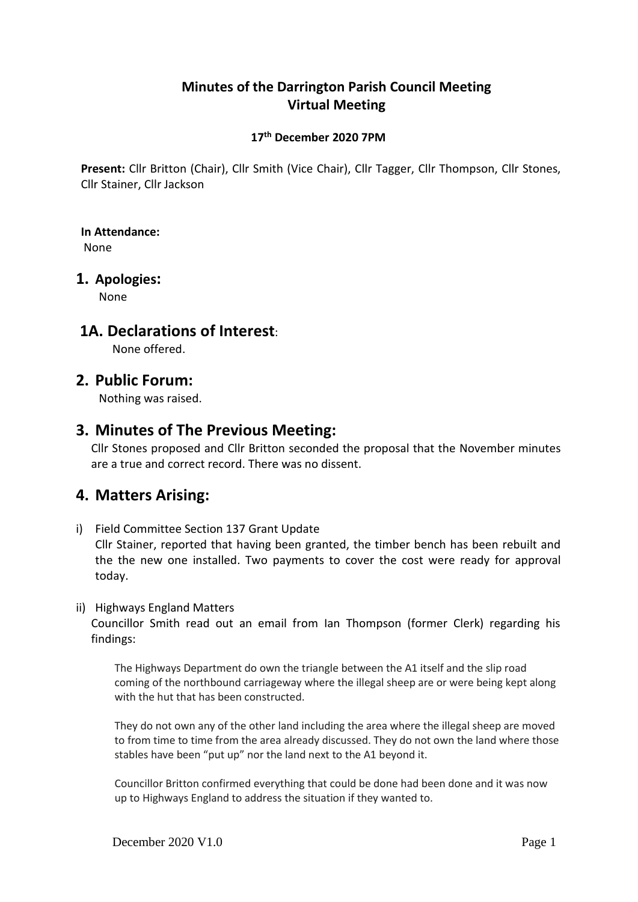## **Minutes of the Darrington Parish Council Meeting Virtual Meeting**

## **17 th December 2020 7PM**

**Present:** Cllr Britton (Chair), Cllr Smith (Vice Chair), Cllr Tagger, Cllr Thompson, Cllr Stones, Cllr Stainer, Cllr Jackson

## **In Attendance:**

None

## **1. Apologies:**

None

## **1A. Declarations of Interest**:

None offered.

## **2. Public Forum:**

Nothing was raised.

## **3. Minutes of The Previous Meeting:**

Cllr Stones proposed and Cllr Britton seconded the proposal that the November minutes are a true and correct record. There was no dissent.

# **4. Matters Arising:**

i) Field Committee Section 137 Grant Update

Cllr Stainer, reported that having been granted, the timber bench has been rebuilt and the the new one installed. Two payments to cover the cost were ready for approval today.

#### ii) Highways England Matters

Councillor Smith read out an email from Ian Thompson (former Clerk) regarding his findings:

The Highways Department do own the triangle between the A1 itself and the slip road coming of the northbound carriageway where the illegal sheep are or were being kept along with the hut that has been constructed.

They do not own any of the other land including the area where the illegal sheep are moved to from time to time from the area already discussed. They do not own the land where those stables have been "put up" nor the land next to the A1 beyond it.

Councillor Britton confirmed everything that could be done had been done and it was now up to Highways England to address the situation if they wanted to.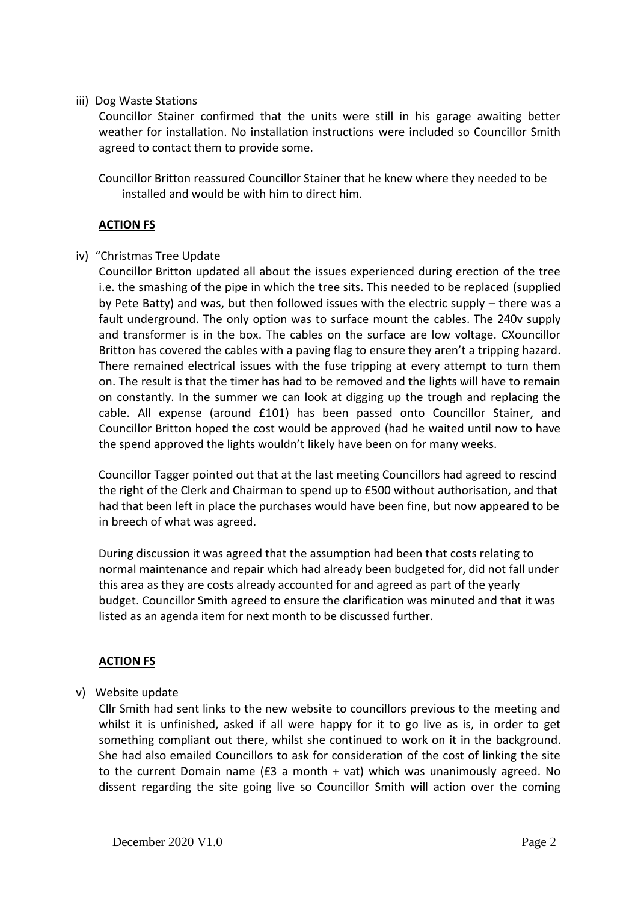#### iii) Dog Waste Stations

Councillor Stainer confirmed that the units were still in his garage awaiting better weather for installation. No installation instructions were included so Councillor Smith agreed to contact them to provide some.

Councillor Britton reassured Councillor Stainer that he knew where they needed to be installed and would be with him to direct him.

### **ACTION FS**

#### iv) "Christmas Tree Update

Councillor Britton updated all about the issues experienced during erection of the tree i.e. the smashing of the pipe in which the tree sits. This needed to be replaced (supplied by Pete Batty) and was, but then followed issues with the electric supply – there was a fault underground. The only option was to surface mount the cables. The 240v supply and transformer is in the box. The cables on the surface are low voltage. CXouncillor Britton has covered the cables with a paving flag to ensure they aren't a tripping hazard. There remained electrical issues with the fuse tripping at every attempt to turn them on. The result is that the timer has had to be removed and the lights will have to remain on constantly. In the summer we can look at digging up the trough and replacing the cable. All expense (around £101) has been passed onto Councillor Stainer, and Councillor Britton hoped the cost would be approved (had he waited until now to have the spend approved the lights wouldn't likely have been on for many weeks.

Councillor Tagger pointed out that at the last meeting Councillors had agreed to rescind the right of the Clerk and Chairman to spend up to £500 without authorisation, and that had that been left in place the purchases would have been fine, but now appeared to be in breech of what was agreed.

During discussion it was agreed that the assumption had been that costs relating to normal maintenance and repair which had already been budgeted for, did not fall under this area as they are costs already accounted for and agreed as part of the yearly budget. Councillor Smith agreed to ensure the clarification was minuted and that it was listed as an agenda item for next month to be discussed further.

### **ACTION FS**

#### v) Website update

Cllr Smith had sent links to the new website to councillors previous to the meeting and whilst it is unfinished, asked if all were happy for it to go live as is, in order to get something compliant out there, whilst she continued to work on it in the background. She had also emailed Councillors to ask for consideration of the cost of linking the site to the current Domain name (£3 a month + vat) which was unanimously agreed. No dissent regarding the site going live so Councillor Smith will action over the coming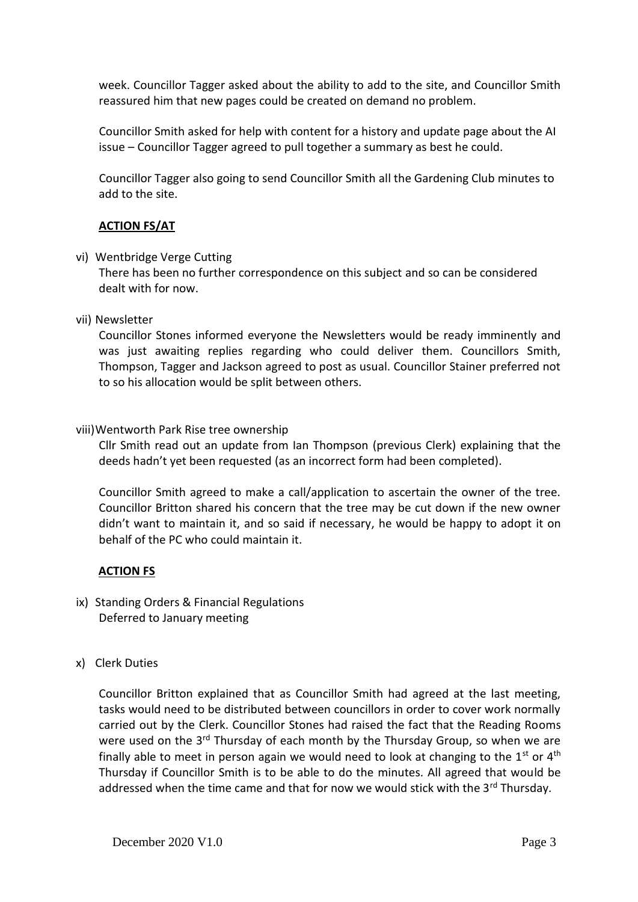week. Councillor Tagger asked about the ability to add to the site, and Councillor Smith reassured him that new pages could be created on demand no problem.

Councillor Smith asked for help with content for a history and update page about the AI issue – Councillor Tagger agreed to pull together a summary as best he could.

Councillor Tagger also going to send Councillor Smith all the Gardening Club minutes to add to the site.

### **ACTION FS/AT**

#### vi) Wentbridge Verge Cutting

There has been no further correspondence on this subject and so can be considered dealt with for now.

#### vii) Newsletter

Councillor Stones informed everyone the Newsletters would be ready imminently and was just awaiting replies regarding who could deliver them. Councillors Smith, Thompson, Tagger and Jackson agreed to post as usual. Councillor Stainer preferred not to so his allocation would be split between others.

#### viii)Wentworth Park Rise tree ownership

Cllr Smith read out an update from Ian Thompson (previous Clerk) explaining that the deeds hadn't yet been requested (as an incorrect form had been completed).

Councillor Smith agreed to make a call/application to ascertain the owner of the tree. Councillor Britton shared his concern that the tree may be cut down if the new owner didn't want to maintain it, and so said if necessary, he would be happy to adopt it on behalf of the PC who could maintain it.

#### **ACTION FS**

- ix) Standing Orders & Financial Regulations Deferred to January meeting
- x) Clerk Duties

Councillor Britton explained that as Councillor Smith had agreed at the last meeting, tasks would need to be distributed between councillors in order to cover work normally carried out by the Clerk. Councillor Stones had raised the fact that the Reading Rooms were used on the  $3<sup>rd</sup>$  Thursday of each month by the Thursday Group, so when we are finally able to meet in person again we would need to look at changing to the  $1<sup>st</sup>$  or  $4<sup>th</sup>$ Thursday if Councillor Smith is to be able to do the minutes. All agreed that would be addressed when the time came and that for now we would stick with the  $3<sup>rd</sup>$  Thursday.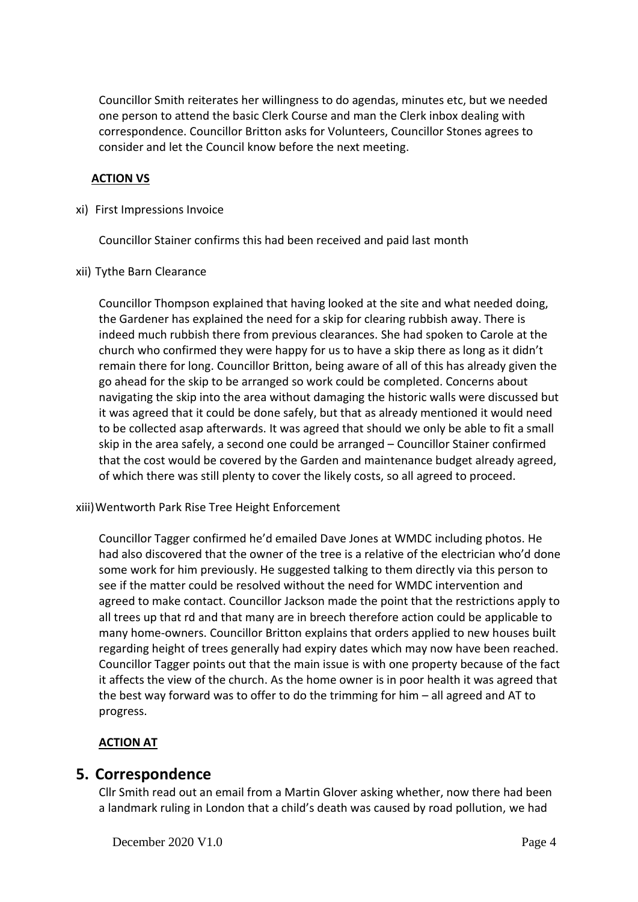Councillor Smith reiterates her willingness to do agendas, minutes etc, but we needed one person to attend the basic Clerk Course and man the Clerk inbox dealing with correspondence. Councillor Britton asks for Volunteers, Councillor Stones agrees to consider and let the Council know before the next meeting.

### **ACTION VS**

xi) First Impressions Invoice

Councillor Stainer confirms this had been received and paid last month

xii) Tythe Barn Clearance

Councillor Thompson explained that having looked at the site and what needed doing, the Gardener has explained the need for a skip for clearing rubbish away. There is indeed much rubbish there from previous clearances. She had spoken to Carole at the church who confirmed they were happy for us to have a skip there as long as it didn't remain there for long. Councillor Britton, being aware of all of this has already given the go ahead for the skip to be arranged so work could be completed. Concerns about navigating the skip into the area without damaging the historic walls were discussed but it was agreed that it could be done safely, but that as already mentioned it would need to be collected asap afterwards. It was agreed that should we only be able to fit a small skip in the area safely, a second one could be arranged – Councillor Stainer confirmed that the cost would be covered by the Garden and maintenance budget already agreed, of which there was still plenty to cover the likely costs, so all agreed to proceed.

xiii)Wentworth Park Rise Tree Height Enforcement

Councillor Tagger confirmed he'd emailed Dave Jones at WMDC including photos. He had also discovered that the owner of the tree is a relative of the electrician who'd done some work for him previously. He suggested talking to them directly via this person to see if the matter could be resolved without the need for WMDC intervention and agreed to make contact. Councillor Jackson made the point that the restrictions apply to all trees up that rd and that many are in breech therefore action could be applicable to many home-owners. Councillor Britton explains that orders applied to new houses built regarding height of trees generally had expiry dates which may now have been reached. Councillor Tagger points out that the main issue is with one property because of the fact it affects the view of the church. As the home owner is in poor health it was agreed that the best way forward was to offer to do the trimming for him – all agreed and AT to progress.

## **ACTION AT**

## **5. Correspondence**

Cllr Smith read out an email from a Martin Glover asking whether, now there had been a landmark ruling in London that a child's death was caused by road pollution, we had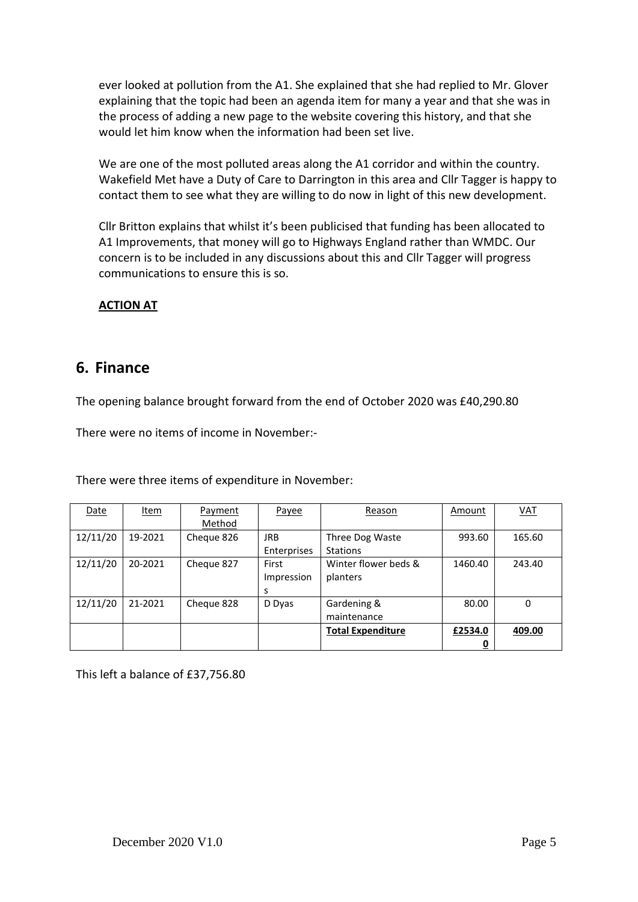ever looked at pollution from the A1. She explained that she had replied to Mr. Glover explaining that the topic had been an agenda item for many a year and that she was in the process of adding a new page to the website covering this history, and that she would let him know when the information had been set live.

We are one of the most polluted areas along the A1 corridor and within the country. Wakefield Met have a Duty of Care to Darrington in this area and Cllr Tagger is happy to contact them to see what they are willing to do now in light of this new development.

Cllr Britton explains that whilst it's been publicised that funding has been allocated to A1 Improvements, that money will go to Highways England rather than WMDC. Our concern is to be included in any discussions about this and Cllr Tagger will progress communications to ensure this is so.

### **ACTION AT**

## **6. Finance**

The opening balance brought forward from the end of October 2020 was £40,290.80

There were no items of income in November:-

There were three items of expenditure in November:

| Date     | Item    | Payment    | Payee       | Reason                   | Amount  | VAT    |
|----------|---------|------------|-------------|--------------------------|---------|--------|
|          |         | Method     |             |                          |         |        |
| 12/11/20 | 19-2021 | Cheque 826 | <b>JRB</b>  | Three Dog Waste          | 993.60  | 165.60 |
|          |         |            | Enterprises | <b>Stations</b>          |         |        |
| 12/11/20 | 20-2021 | Cheque 827 | First       | Winter flower beds &     | 1460.40 | 243.40 |
|          |         |            | Impression  | planters                 |         |        |
|          |         |            | s           |                          |         |        |
| 12/11/20 | 21-2021 | Cheque 828 | D Dyas      | Gardening &              | 80.00   | 0      |
|          |         |            |             | maintenance              |         |        |
|          |         |            |             | <b>Total Expenditure</b> | £2534.0 | 409.00 |
|          |         |            |             |                          |         |        |

This left a balance of £37,756.80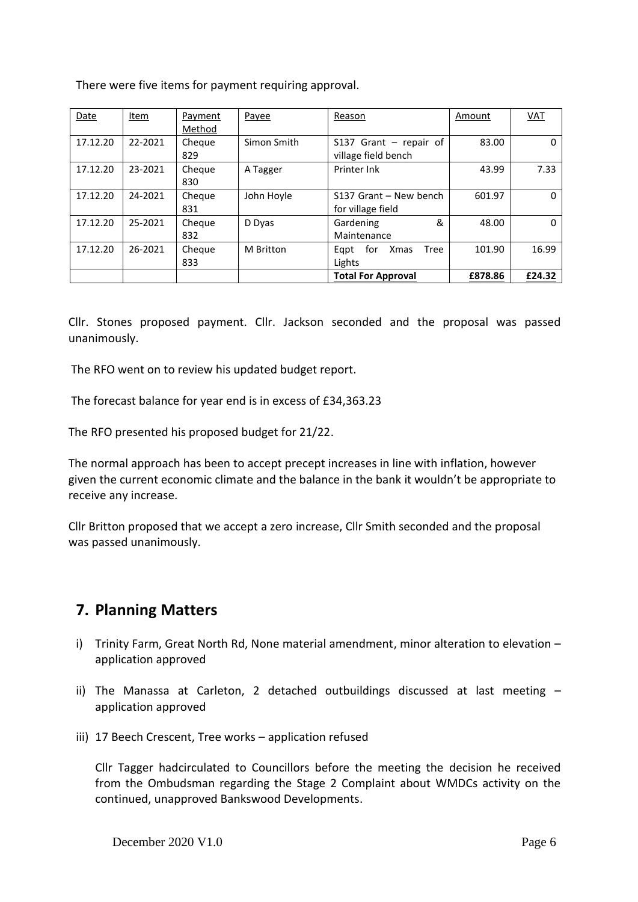There were five items for payment requiring approval.

| Date     | <u>Item</u> | Payment<br>Method | Payee       | Reason                                              | Amount  | <b>VAT</b> |
|----------|-------------|-------------------|-------------|-----------------------------------------------------|---------|------------|
| 17.12.20 | 22-2021     | Cheque<br>829     | Simon Smith | $S137$ Grant – repair of<br>village field bench     | 83.00   | 0          |
| 17.12.20 | 23-2021     | Cheque<br>830     | A Tagger    | Printer Ink                                         | 43.99   | 7.33       |
| 17.12.20 | 24-2021     | Cheque<br>831     | John Hoyle  | S137 Grant - New bench<br>for village field         | 601.97  | 0          |
| 17.12.20 | 25-2021     | Cheque<br>832     | D Dyas      | &<br>Gardening<br>Maintenance                       | 48.00   | 0          |
| 17.12.20 | 26-2021     | Cheque<br>833     | M Britton   | for<br><b>Tree</b><br><b>Xmas</b><br>Egpt<br>Lights | 101.90  | 16.99      |
|          |             |                   |             | <b>Total For Approval</b>                           | £878.86 | £24.32     |

Cllr. Stones proposed payment. Cllr. Jackson seconded and the proposal was passed unanimously.

The RFO went on to review his updated budget report.

The forecast balance for year end is in excess of £34,363.23

The RFO presented his proposed budget for 21/22.

The normal approach has been to accept precept increases in line with inflation, however given the current economic climate and the balance in the bank it wouldn't be appropriate to receive any increase.

Cllr Britton proposed that we accept a zero increase, Cllr Smith seconded and the proposal was passed unanimously.

# **7. Planning Matters**

- i) Trinity Farm, Great North Rd, None material amendment, minor alteration to elevation application approved
- ii) The Manassa at Carleton, 2 detached outbuildings discussed at last meeting application approved
- iii) 17 Beech Crescent, Tree works application refused

Cllr Tagger hadcirculated to Councillors before the meeting the decision he received from the Ombudsman regarding the Stage 2 Complaint about WMDCs activity on the continued, unapproved Bankswood Developments.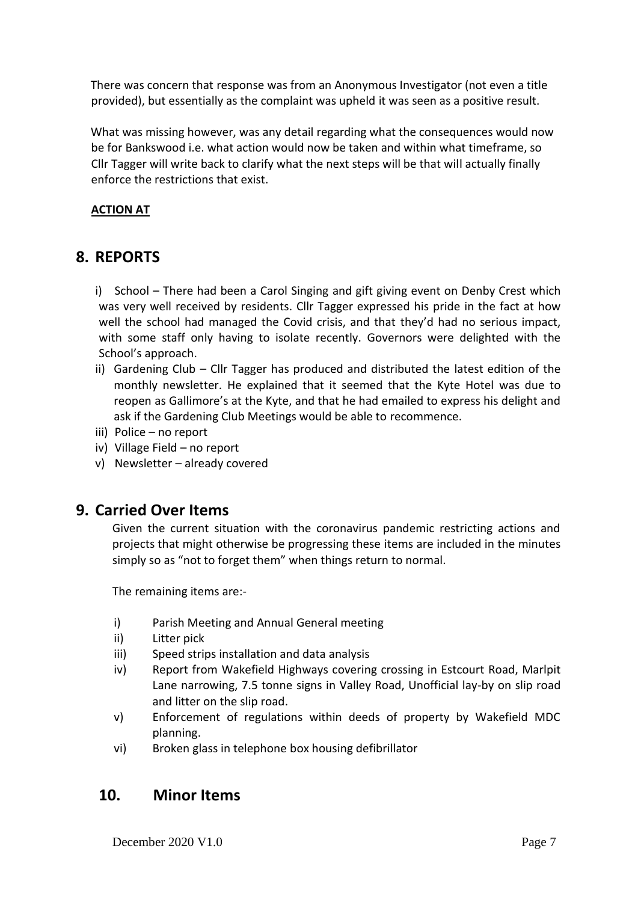There was concern that response was from an Anonymous Investigator (not even a title provided), but essentially as the complaint was upheld it was seen as a positive result.

What was missing however, was any detail regarding what the consequences would now be for Bankswood i.e. what action would now be taken and within what timeframe, so Cllr Tagger will write back to clarify what the next steps will be that will actually finally enforce the restrictions that exist.

### **ACTION AT**

# **8. REPORTS**

i) School – There had been a Carol Singing and gift giving event on Denby Crest which was very well received by residents. Cllr Tagger expressed his pride in the fact at how well the school had managed the Covid crisis, and that they'd had no serious impact, with some staff only having to isolate recently. Governors were delighted with the School's approach.

- ii) Gardening Club Cllr Tagger has produced and distributed the latest edition of the monthly newsletter. He explained that it seemed that the Kyte Hotel was due to reopen as Gallimore's at the Kyte, and that he had emailed to express his delight and ask if the Gardening Club Meetings would be able to recommence.
- iii) Police no report
- iv) Village Field no report
- v) Newsletter already covered

## **9. Carried Over Items**

Given the current situation with the coronavirus pandemic restricting actions and projects that might otherwise be progressing these items are included in the minutes simply so as "not to forget them" when things return to normal.

The remaining items are:-

- i) Parish Meeting and Annual General meeting
- ii) Litter pick
- iii) Speed strips installation and data analysis
- iv) Report from Wakefield Highways covering crossing in Estcourt Road, Marlpit Lane narrowing, 7.5 tonne signs in Valley Road, Unofficial lay-by on slip road and litter on the slip road.
- v) Enforcement of regulations within deeds of property by Wakefield MDC planning.
- vi) Broken glass in telephone box housing defibrillator

# **10. Minor Items**